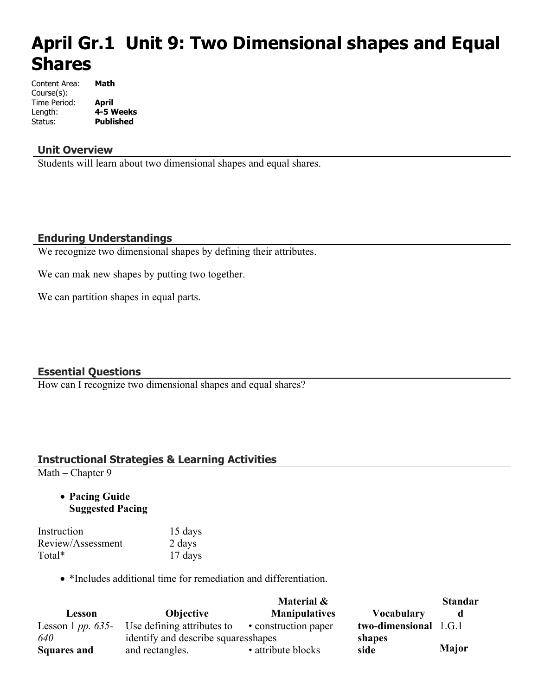# **April Gr.1 Unit 9: Two Dimensional shapes and Equal Shares**

| Content Area: | Math             |
|---------------|------------------|
| Course(s):    |                  |
| Time Period:  | April            |
| Length:       | 4-5 Weeks        |
| Status:       | <b>Published</b> |

#### **Unit Overview**

Students will learn about two dimensional shapes and equal shares.

# **Enduring Understandings**

We recognize two dimensional shapes by defining their attributes.

We can mak new shapes by putting two together.

We can partition shapes in equal parts.

## **Essential Questions**

How can I recognize two dimensional shapes and equal shares?

## **Instructional Strategies & Learning Activities**

Math – Chapter 9

 **Pacing Guide Suggested Pacing**

| Instruction       | 15 days |
|-------------------|---------|
| Review/Assessment | 2 days  |
| Total*            | 17 days |

\*Includes additional time for remediation and differentiation.

|                     |                                      | Material &           |                       | <b>Standar</b> |
|---------------------|--------------------------------------|----------------------|-----------------------|----------------|
| Lesson              | <b>Objective</b>                     | <b>Manipulatives</b> | <b>Vocabulary</b>     | d              |
| Lesson 1 pp. $635-$ | Use defining attributes to           | • construction paper | two-dimensional 1.G.1 |                |
| 640                 | identify and describe squares shapes |                      | shapes                |                |
| <b>Squares and</b>  | and rectangles.                      | • attribute blocks   | side                  | <b>Major</b>   |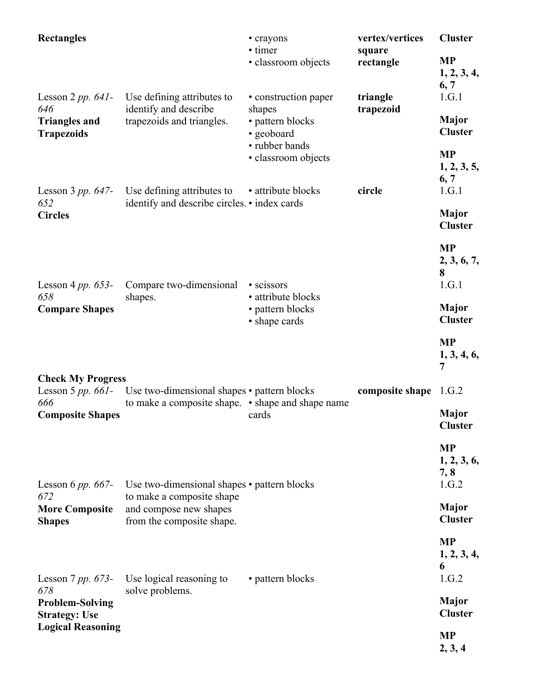| <b>Rectangles</b>                                     |                                                                                  | • crayons<br>• timer<br>· classroom objects                | vertex/vertices<br>square<br>rectangle | <b>Cluster</b><br><b>MP</b>                |
|-------------------------------------------------------|----------------------------------------------------------------------------------|------------------------------------------------------------|----------------------------------------|--------------------------------------------|
| Lesson $2 pp. 641$ -                                  | Use defining attributes to                                                       | • construction paper                                       | triangle                               | 1, 2, 3, 4,<br>6, 7<br>1.G.1               |
| 646<br><b>Triangles and</b><br><b>Trapezoids</b>      | identify and describe<br>trapezoids and triangles.                               | shapes<br>• pattern blocks<br>• geoboard<br>• rubber bands | trapezoid                              | Major<br><b>Cluster</b>                    |
|                                                       | Lesson 3 pp. 647- Use defining attributes to $\bullet$ attribute blocks          | · classroom objects                                        | circle                                 | <b>MP</b><br>1, 2, 3, 5,<br>6, 7<br>1.G.1  |
| 652<br><b>Circles</b>                                 | identify and describe circles. • index cards                                     |                                                            |                                        | Major<br><b>Cluster</b>                    |
| Lesson 4 pp. $653-$                                   | Compare two-dimensional                                                          | • scissors                                                 |                                        | <b>MP</b><br>2, 3, 6, 7,<br>8<br>1.G.1     |
| 658<br><b>Compare Shapes</b>                          | shapes.                                                                          | • attribute blocks<br>• pattern blocks<br>• shape cards    |                                        | <b>Major</b><br><b>Cluster</b>             |
|                                                       |                                                                                  |                                                            |                                        | <b>MP</b><br>1, 3, 4, 6,<br>$\overline{7}$ |
| <b>Check My Progress</b>                              | Lesson 5 $pp. 661$ - Use two-dimensional shapes • pattern blocks                 |                                                            | composite shape 1.G.2                  |                                            |
| 666<br><b>Composite Shapes</b>                        | to make a composite shape. • shape and shape name                                | cards                                                      |                                        | <b>Major</b><br><b>Cluster</b>             |
| Lesson 6 pp. $667-$                                   | Use two-dimensional shapes • pattern blocks                                      |                                                            |                                        | <b>MP</b><br>1, 2, 3, 6,<br>7, 8<br>1.G.2  |
| 672<br><b>More Composite</b><br><b>Shapes</b>         | to make a composite shape<br>and compose new shapes<br>from the composite shape. |                                                            |                                        | Major<br><b>Cluster</b>                    |
| Lesson 7 pp. $673-$                                   | Use logical reasoning to                                                         | • pattern blocks                                           |                                        | <b>MP</b><br>1, 2, 3, 4,<br>6<br>1.G.2     |
| 678<br><b>Problem-Solving</b><br><b>Strategy: Use</b> | solve problems.                                                                  |                                                            |                                        | Major<br><b>Cluster</b>                    |
| <b>Logical Reasoning</b>                              |                                                                                  |                                                            |                                        | <b>MP</b><br>2, 3, 4                       |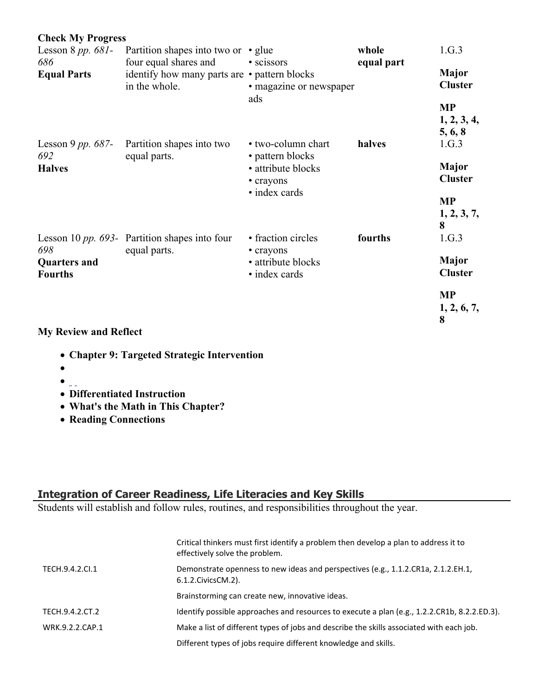| <b>Check My Progress</b>              |                                                                                        |                                                     |            |                                     |
|---------------------------------------|----------------------------------------------------------------------------------------|-----------------------------------------------------|------------|-------------------------------------|
| Lesson 8 $pp. 681$ -                  | Partition shapes into two or $\cdot$ glue                                              |                                                     | whole      | 1.G.3                               |
| 686<br><b>Equal Parts</b>             | four equal shares and<br>identify how many parts are • pattern blocks<br>in the whole. | • scissors<br>• magazine or newspaper<br>ads        | equal part | Major<br><b>Cluster</b>             |
|                                       |                                                                                        |                                                     |            | <b>MP</b><br>1, 2, 3, 4,<br>5, 6, 8 |
| Lesson 9 pp. $687-$<br>692            | Partition shapes into two                                                              | • two-column chart                                  | halves     | 1.G.3                               |
| <b>Halves</b>                         | equal parts.                                                                           | • pattern blocks<br>• attribute blocks<br>• crayons |            | Major<br><b>Cluster</b>             |
|                                       |                                                                                        | • index cards                                       |            | <b>MP</b>                           |
|                                       |                                                                                        |                                                     |            | 1, 2, 3, 7,<br>8                    |
| 698                                   | Lesson 10 $pp. 693$ - Partition shapes into four                                       | • fraction circles                                  | fourths    | 1.G.3                               |
| <b>Quarters and</b><br><b>Fourths</b> | equal parts.                                                                           | • crayons<br>• attribute blocks<br>• index cards    |            | <b>Major</b><br><b>Cluster</b>      |
|                                       |                                                                                        |                                                     |            | <b>MP</b><br>1, 2, 6, 7,<br>8       |

**My Review and Reflect** 

- **Chapter 9: Targeted Strategic Intervention**
- $\bullet$
- $\bullet$   $\overline{\phantom{0}}$
- **Differentiated Instruction**
- **What's the Math in This Chapter?**
- **Reading Connections**

## **Integration of Career Readiness, Life Literacies and Key Skills**

Students will establish and follow rules, routines, and responsibilities throughout the year.

|                 | Critical thinkers must first identify a problem then develop a plan to address it to<br>effectively solve the problem. |
|-----------------|------------------------------------------------------------------------------------------------------------------------|
| TECH.9.4.2.CI.1 | Demonstrate openness to new ideas and perspectives (e.g., 1.1.2.CR1a, 2.1.2.EH.1,<br>6.1.2. Civics CM. 2).             |
|                 | Brainstorming can create new, innovative ideas.                                                                        |
| TECH.9.4.2.CT.2 | Identify possible approaches and resources to execute a plan (e.g., 1.2.2.CR1b, 8.2.2.ED.3).                           |
| WRK.9.2.2.CAP.1 | Make a list of different types of jobs and describe the skills associated with each job.                               |
|                 | Different types of jobs require different knowledge and skills.                                                        |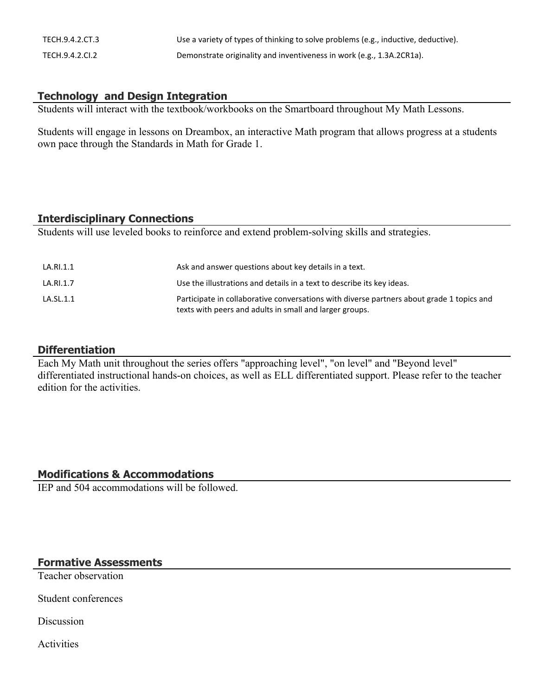| TECH.9.4.2.CT.3 | Use a variety of types of thinking to solve problems (e.g., inductive, deductive). |
|-----------------|------------------------------------------------------------------------------------|
| TECH.9.4.2.CI.2 | Demonstrate originality and inventiveness in work (e.g., 1.3A.2CR1a).              |

# **Technology and Design Integration**

Students will interact with the textbook/workbooks on the Smartboard throughout My Math Lessons.

Students will engage in lessons on Dreambox, an interactive Math program that allows progress at a students own pace through the Standards in Math for Grade 1.

#### **Interdisciplinary Connections**

Students will use leveled books to reinforce and extend problem-solving skills and strategies.

| LA.RI.1.1 | Ask and answer questions about key details in a text.                                                                                                |
|-----------|------------------------------------------------------------------------------------------------------------------------------------------------------|
| LA.RI.1.7 | Use the illustrations and details in a text to describe its key ideas.                                                                               |
| LA.SL.1.1 | Participate in collaborative conversations with diverse partners about grade 1 topics and<br>texts with peers and adults in small and larger groups. |

## **Differentiation**

Each My Math unit throughout the series offers "approaching level", "on level" and "Beyond level" differentiated instructional hands-on choices, as well as ELL differentiated support. Please refer to the teacher edition for the activities.

## **Modifications & Accommodations**

IEP and 504 accommodations will be followed.

## **Formative Assessments**

Teacher observation

Student conferences

Discussion

Activities